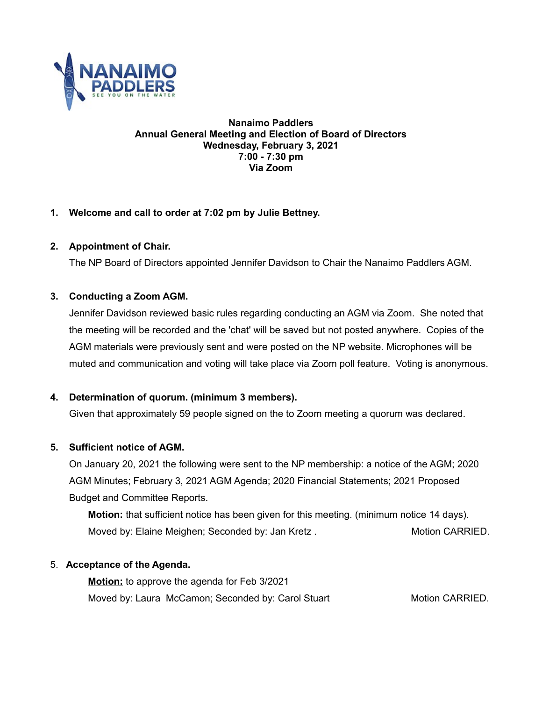

#### **Nanaimo Paddlers Annual General Meeting and Election of Board of Directors Wednesday, February 3, 2021 7:00 - 7:30 pm Via Zoom**

# **1. Welcome and call to order at 7:02 pm by Julie Bettney.**

# **2. Appointment of Chair.**

The NP Board of Directors appointed Jennifer Davidson to Chair the Nanaimo Paddlers AGM.

## **3. Conducting a Zoom AGM.**

Jennifer Davidson reviewed basic rules regarding conducting an AGM via Zoom. She noted that the meeting will be recorded and the 'chat' will be saved but not posted anywhere. Copies of the AGM materials were previously sent and were posted on the NP website. Microphones will be muted and communication and voting will take place via Zoom poll feature. Voting is anonymous.

# **4. Determination of quorum. (minimum 3 members).**

Given that approximately 59 people signed on the to Zoom meeting a quorum was declared.

## **5. Sufficient notice of AGM.**

On January 20, 2021 the following were sent to the NP membership: a notice of the AGM; 2020 AGM Minutes; February 3, 2021 AGM Agenda; 2020 Financial Statements; 2021 Proposed Budget and Committee Reports.

**Motion:** that sufficient notice has been given for this meeting. (minimum notice 14 days). Moved by: Elaine Meighen; Seconded by: Jan Kretz . Motion CARRIED.

# 5. **Acceptance of the Agenda.**

**Motion:** to approve the agenda for Feb 3/2021 Moved by: Laura McCamon; Seconded by: Carol Stuart Motion CARRIED.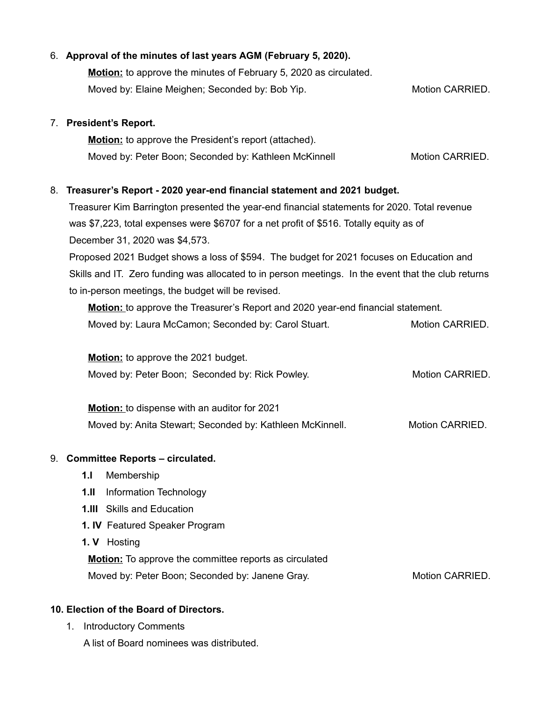|    | 6. Approval of the minutes of last years AGM (February 5, 2020).<br><b>Motion:</b> to approve the minutes of February 5, 2020 as circulated.<br>Moved by: Elaine Meighen; Seconded by: Bob Yip. | Motion CARRIED. |  |
|----|-------------------------------------------------------------------------------------------------------------------------------------------------------------------------------------------------|-----------------|--|
|    | 7. President's Report.                                                                                                                                                                          |                 |  |
|    | <b>Motion:</b> to approve the President's report (attached).                                                                                                                                    |                 |  |
|    | Moved by: Peter Boon; Seconded by: Kathleen McKinnell                                                                                                                                           | Motion CARRIED. |  |
|    | 8. Treasurer's Report - 2020 year-end financial statement and 2021 budget.                                                                                                                      |                 |  |
|    | Treasurer Kim Barrington presented the year-end financial statements for 2020. Total revenue                                                                                                    |                 |  |
|    | was \$7,223, total expenses were \$6707 for a net profit of \$516. Totally equity as of                                                                                                         |                 |  |
|    | December 31, 2020 was \$4,573.                                                                                                                                                                  |                 |  |
|    | Proposed 2021 Budget shows a loss of \$594. The budget for 2021 focuses on Education and                                                                                                        |                 |  |
|    | Skills and IT. Zero funding was allocated to in person meetings. In the event that the club returns                                                                                             |                 |  |
|    | to in-person meetings, the budget will be revised.                                                                                                                                              |                 |  |
|    | <b>Motion:</b> to approve the Treasurer's Report and 2020 year-end financial statement.                                                                                                         |                 |  |
|    | Moved by: Laura McCamon; Seconded by: Carol Stuart.                                                                                                                                             | Motion CARRIED. |  |
|    | <b>Motion:</b> to approve the 2021 budget.                                                                                                                                                      |                 |  |
|    | Moved by: Peter Boon; Seconded by: Rick Powley.                                                                                                                                                 | Motion CARRIED. |  |
|    | Motion: to dispense with an auditor for 2021                                                                                                                                                    |                 |  |
|    | Moved by: Anita Stewart; Seconded by: Kathleen McKinnell.                                                                                                                                       | Motion CARRIED. |  |
| 9. | <b>Committee Reports - circulated.</b>                                                                                                                                                          |                 |  |
|    | 1.1<br>Membership                                                                                                                                                                               |                 |  |
|    | Information Technology<br>1.11                                                                                                                                                                  |                 |  |
|    | <b>Skills and Education</b><br>1.111                                                                                                                                                            |                 |  |
|    | 1. IV Featured Speaker Program                                                                                                                                                                  |                 |  |
|    | Hosting<br>1. V                                                                                                                                                                                 |                 |  |
|    | <b>Motion:</b> To approve the committee reports as circulated                                                                                                                                   |                 |  |
|    | Moved by: Peter Boon; Seconded by: Janene Gray.                                                                                                                                                 | Motion CARRIED. |  |

# **10. Election of the Board of Directors.**

1. Introductory Comments

A list of Board nominees was distributed.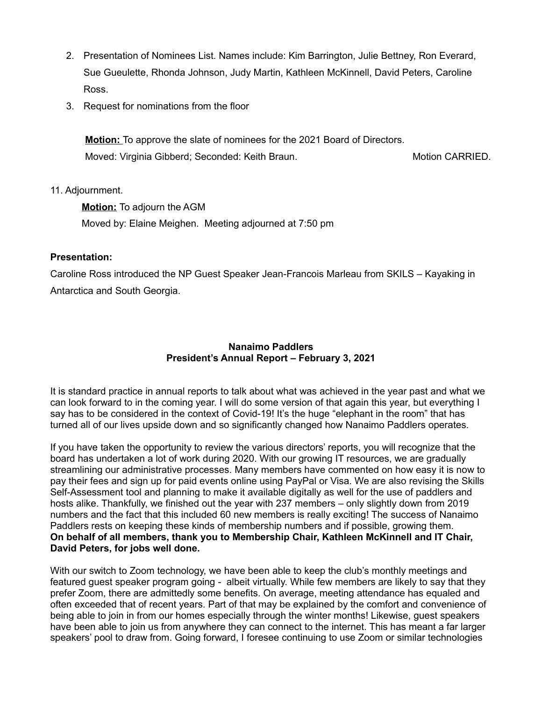- 2. Presentation of Nominees List. Names include: Kim Barrington, Julie Bettney, Ron Everard, Sue Gueulette, Rhonda Johnson, Judy Martin, Kathleen McKinnell, David Peters, Caroline Ross.
- 3. Request for nominations from the floor

**Motion:** To approve the slate of nominees for the 2021 Board of Directors. Moved: Virginia Gibberd; Seconded: Keith Braun. Motion CARRIED.

## 11. Adjournment.

**Motion:** To adjourn the AGM Moved by: Elaine Meighen. Meeting adjourned at 7:50 pm

## **Presentation:**

Caroline Ross introduced the NP Guest Speaker Jean-Francois Marleau from SKILS – Kayaking in Antarctica and South Georgia.

## **Nanaimo Paddlers President's Annual Report – February 3, 2021**

It is standard practice in annual reports to talk about what was achieved in the year past and what we can look forward to in the coming year. I will do some version of that again this year, but everything I say has to be considered in the context of Covid-19! It's the huge "elephant in the room" that has turned all of our lives upside down and so significantly changed how Nanaimo Paddlers operates.

If you have taken the opportunity to review the various directors' reports, you will recognize that the board has undertaken a lot of work during 2020. With our growing IT resources, we are gradually streamlining our administrative processes. Many members have commented on how easy it is now to pay their fees and sign up for paid events online using PayPal or Visa. We are also revising the Skills Self-Assessment tool and planning to make it available digitally as well for the use of paddlers and hosts alike. Thankfully, we finished out the year with 237 members – only slightly down from 2019 numbers and the fact that this included 60 new members is really exciting! The success of Nanaimo Paddlers rests on keeping these kinds of membership numbers and if possible, growing them. **On behalf of all members, thank you to Membership Chair, Kathleen McKinnell and IT Chair, David Peters, for jobs well done.**

With our switch to Zoom technology, we have been able to keep the club's monthly meetings and featured guest speaker program going - albeit virtually. While few members are likely to say that they prefer Zoom, there are admittedly some benefits. On average, meeting attendance has equaled and often exceeded that of recent years. Part of that may be explained by the comfort and convenience of being able to join in from our homes especially through the winter months! Likewise, guest speakers have been able to join us from anywhere they can connect to the internet. This has meant a far larger speakers' pool to draw from. Going forward, I foresee continuing to use Zoom or similar technologies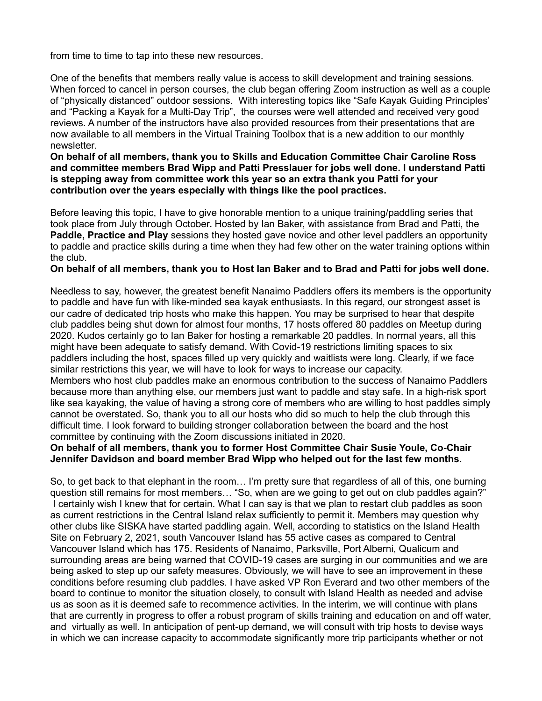from time to time to tap into these new resources.

One of the benefits that members really value is access to skill development and training sessions. When forced to cancel in person courses, the club began offering Zoom instruction as well as a couple of "physically distanced" outdoor sessions. With interesting topics like "Safe Kayak Guiding Principles' and "Packing a Kayak for a Multi-Day Trip", the courses were well attended and received very good reviews. A number of the instructors have also provided resources from their presentations that are now available to all members in the Virtual Training Toolbox that is a new addition to our monthly newsletter.

#### **On behalf of all members, thank you to Skills and Education Committee Chair Caroline Ross and committee members Brad Wipp and Patti Presslauer for jobs well done. I understand Patti is stepping away from committee work this year so an extra thank you Patti for your contribution over the years especially with things like the pool practices.**

Before leaving this topic, I have to give honorable mention to a unique training/paddling series that took place from July through October**.** Hosted by Ian Baker, with assistance from Brad and Patti, the **Paddle, Practice and Play** sessions they hosted gave novice and other level paddlers an opportunity to paddle and practice skills during a time when they had few other on the water training options within the club.

#### **On behalf of all members, thank you to Host Ian Baker and to Brad and Patti for jobs well done.**

Needless to say, however, the greatest benefit Nanaimo Paddlers offers its members is the opportunity to paddle and have fun with like-minded sea kayak enthusiasts. In this regard, our strongest asset is our cadre of dedicated trip hosts who make this happen. You may be surprised to hear that despite club paddles being shut down for almost four months, 17 hosts offered 80 paddles on Meetup during 2020. Kudos certainly go to Ian Baker for hosting a remarkable 20 paddles. In normal years, all this might have been adequate to satisfy demand. With Covid-19 restrictions limiting spaces to six paddlers including the host, spaces filled up very quickly and waitlists were long. Clearly, if we face similar restrictions this year, we will have to look for ways to increase our capacity. Members who host club paddles make an enormous contribution to the success of Nanaimo Paddlers because more than anything else, our members just want to paddle and stay safe. In a high-risk sport like sea kayaking, the value of having a strong core of members who are willing to host paddles simply cannot be overstated. So, thank you to all our hosts who did so much to help the club through this difficult time. I look forward to building stronger collaboration between the board and the host committee by continuing with the Zoom discussions initiated in 2020.

#### **On behalf of all members, thank you to former Host Committee Chair Susie Youle, Co-Chair Jennifer Davidson and board member Brad Wipp who helped out for the last few months.**

So, to get back to that elephant in the room… I'm pretty sure that regardless of all of this, one burning question still remains for most members... "So, when are we going to get out on club paddles again?" I certainly wish I knew that for certain. What I can say is that we plan to restart club paddles as soon as current restrictions in the Central Island relax sufficiently to permit it. Members may question why other clubs like SISKA have started paddling again. Well, according to statistics on the Island Health Site on February 2, 2021, south Vancouver Island has 55 active cases as compared to Central Vancouver Island which has 175. Residents of Nanaimo, Parksville, Port Alberni, Qualicum and surrounding areas are being warned that COVID-19 cases are surging in our communities and we are being asked to step up our safety measures. Obviously, we will have to see an improvement in these conditions before resuming club paddles. I have asked VP Ron Everard and two other members of the board to continue to monitor the situation closely, to consult with Island Health as needed and advise us as soon as it is deemed safe to recommence activities. In the interim, we will continue with plans that are currently in progress to offer a robust program of skills training and education on and off water, and virtually as well. In anticipation of pent-up demand, we will consult with trip hosts to devise ways in which we can increase capacity to accommodate significantly more trip participants whether or not